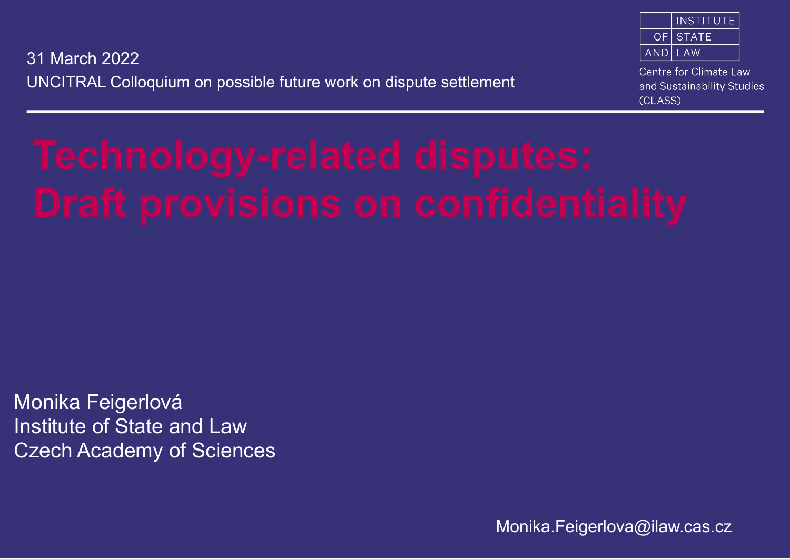| <b>INSTITUTE</b>     |
|----------------------|
| <b>OE STATE</b>      |
| $\overline{AND}$ LAW |

UNCITRAL Colloquium on possible future work on dispute settlement 31 March 2022

Centre for Climate Law and Sustainability Studies (CLASS)

Monika Feigerlová Institute of State and Law Czech Academy of Sciences

Monika.Feigerlova@ilaw.cas.cz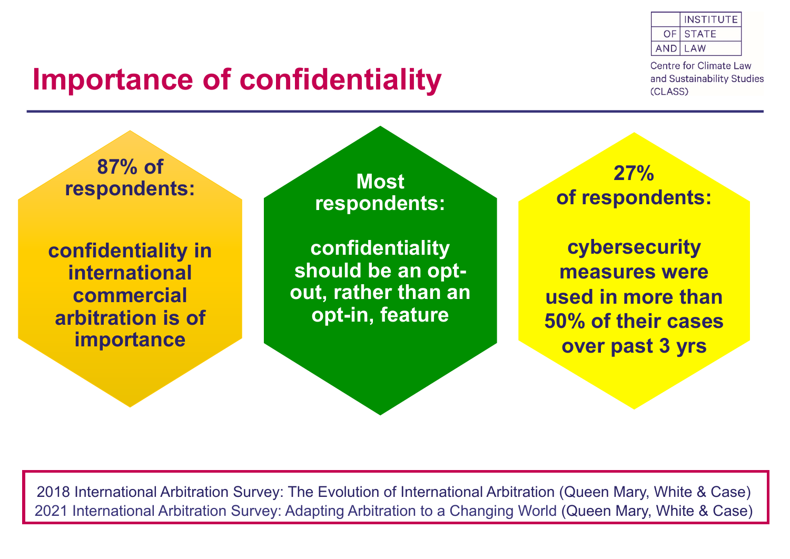### **Importance of confidentiality**



**Centre for Climate Law** and Sustainability Studies (CLASS)

**87% of respondents:** 

**confidentiality in international commercial arbitration is of importance**

**Most respondents:** 

**confidentiality should be an optout, rather than an opt-in, feature** 

**27% of respondents:** 

**cybersecurity measures were used in more than 50% of their cases over past 3 yrs** 

2018 International Arbitration Survey: The Evolution of International Arbitration (Queen Mary, White & Case) 2021 International Arbitration Survey: Adapting Arbitration to a Changing World (Queen Mary, White & Case)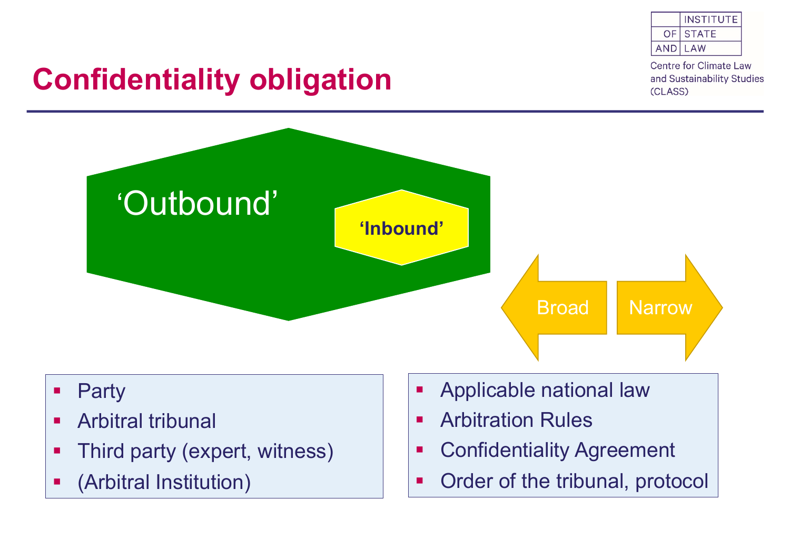

**Centre for Climate Law** and Sustainability Studies (CLASS)

# **Confidentiality obligation**



- Party
- **Arbitral tribunal**
- Third party (expert, witness)
- § (Arbitral Institution)
- **Applicable national law**
- § Arbitration Rules
- **Confidentiality Agreement**
- Order of the tribunal, protocol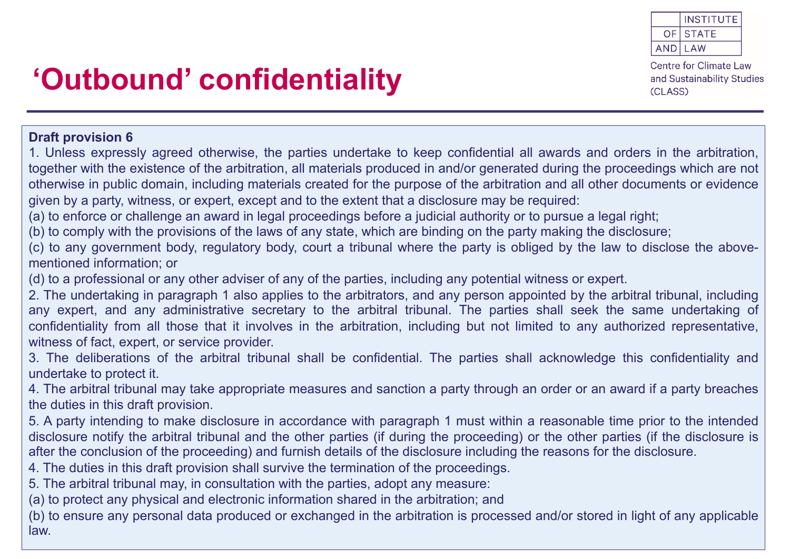

## **'Outbound' confidentiality**

#### **Draft provision 6**

1. Unless expressly agreed otherwise, the parties undertake to keep confidential all awards and orders in the arbitration, together with the existence of the arbitration, all materials produced in and/or generated during the proceedings which are not otherwise in public domain, including materials created for the purpose of the arbitration and all other documents or evidence given by a party, witness, or expert, except and to the extent that a disclosure may be required:

(a) to enforce or challenge an award in legal proceedings before a judicial authority or to pursue a legal right;

(b) to comply with the provisions of the laws of any state, which are binding on the party making the disclosure;

(c) to any government body, regulatory body, court a tribunal where the party is obliged by the law to disclose the abovementioned information; or

(d) to a professional or any other adviser of any of the parties, including any potential witness or expert.

2. The undertaking in paragraph 1 also applies to the arbitrators, and any person appointed by the arbitral tribunal, including any expert, and any administrative secretary to the arbitral tribunal. The parties shall seek the same undertaking of confidentiality from all those that it involves in the arbitration, including but not limited to any authorized representative, witness of fact, expert, or service provider.

3. The deliberations of the arbitral tribunal shall be confidential. The parties shall acknowledge this confidentiality and undertake to protect it.

4. The arbitral tribunal may take appropriate measures and sanction a party through an order or an award if a party breaches the duties in this draft provision.

5. A party intending to make disclosure in accordance with paragraph 1 must within a reasonable time prior to the intended disclosure notify the arbitral tribunal and the other parties (if during the proceeding) or the other parties (if the disclosure is after the conclusion of the proceeding) and furnish details of the disclosure including the reasons for the disclosure.

4. The duties in this draft provision shall survive the termination of the proceedings.

5. The arbitral tribunal may, in consultation with the parties, adopt any measure:

(a) to protect any physical and electronic information shared in the arbitration; and

(b) to ensure any personal data produced or exchanged in the arbitration is processed and/or stored in light of any applicable law.